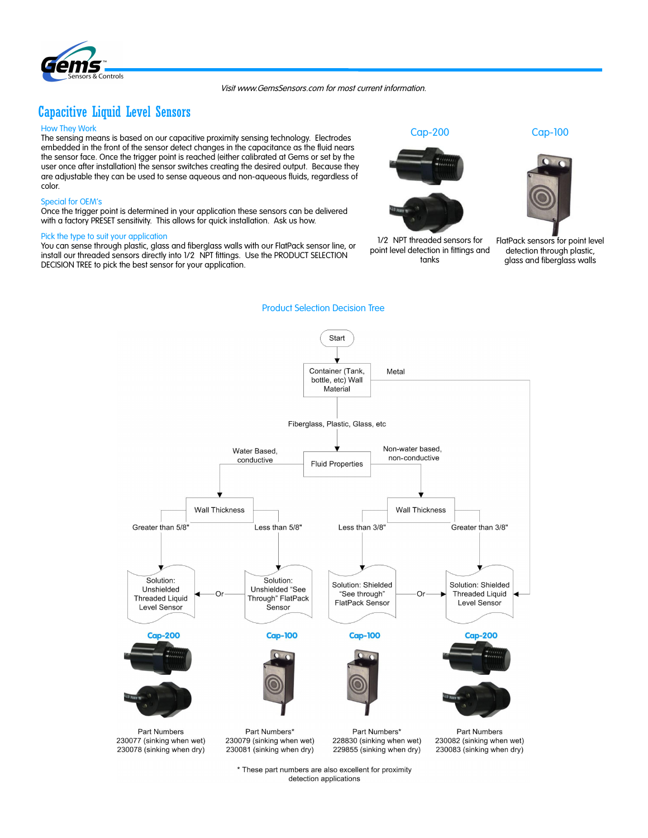#### Visit www.GemsSensors.com for most current information.

Product Selection Decision Tree

# Capacitive Liquid Level Sensors

Controls

## How They Work

The sensing means is based on our capacitive proximity sensing technology. Electrodes embedded in the front of the sensor detect changes in the capacitance as the fluid nears the sensor face. Once the trigger point is reached (either calibrated at Gems or set by the user once after installation) the sensor switches creating the desired output. Because they are adjustable they can be used to sense aqueous and non-aqueous fluids, regardless of color.

#### Special for OEM's

Once the trigger point is determined in your application these sensors can be delivered with a factory PRESET sensitivity. This allows for quick installation. Ask us how.

# Pick the type to suit your application

You can sense through plastic, glass and fiberglass walls with our FlatPack sensor line, or install our threaded sensors directly into 1/2 NPT fittings. Use the PRODUCT SELECTION DECISION TREE to pick the best sensor for your application.



1/2 NPT threaded sensors for point level detection in fittings and tanks



FlatPack sensors for point level detection through plastic, glass and fiberglass walls



\* These part numbers are also excellent for proximity detection applications